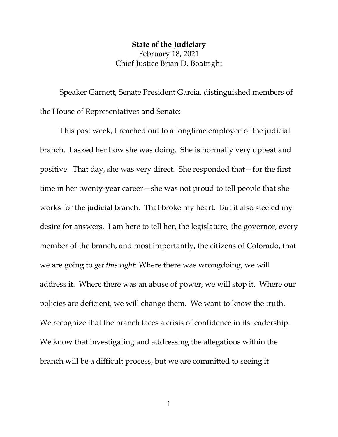## **State of the Judiciary** February 18, 2021 Chief Justice Brian D. Boatright

Speaker Garnett, Senate President Garcia, distinguished members of the House of Representatives and Senate:

This past week, I reached out to a longtime employee of the judicial branch. I asked her how she was doing. She is normally very upbeat and positive. That day, she was very direct. She responded that—for the first time in her twenty-year career—she was not proud to tell people that she works for the judicial branch. That broke my heart. But it also steeled my desire for answers. I am here to tell her, the legislature, the governor, every member of the branch, and most importantly, the citizens of Colorado, that we are going to *get this right*: Where there was wrongdoing, we will address it. Where there was an abuse of power, we will stop it. Where our policies are deficient, we will change them. We want to know the truth. We recognize that the branch faces a crisis of confidence in its leadership. We know that investigating and addressing the allegations within the branch will be a difficult process, but we are committed to seeing it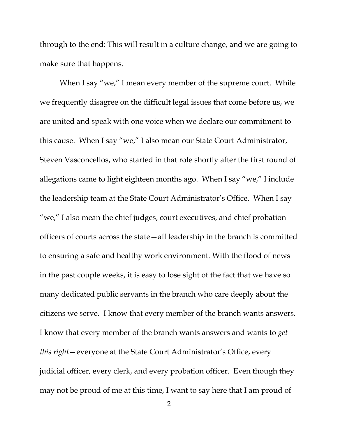through to the end: This will result in a culture change, and we are going to make sure that happens.

When I say "we," I mean every member of the supreme court. While we frequently disagree on the difficult legal issues that come before us, we are united and speak with one voice when we declare our commitment to this cause. When I say "we," I also mean our State Court Administrator, Steven Vasconcellos, who started in that role shortly after the first round of allegations came to light eighteen months ago. When I say "we," I include the leadership team at the State Court Administrator's Office. When I say "we," I also mean the chief judges, court executives, and chief probation officers of courts across the state—all leadership in the branch is committed to ensuring a safe and healthy work environment. With the flood of news in the past couple weeks, it is easy to lose sight of the fact that we have so many dedicated public servants in the branch who care deeply about the citizens we serve. I know that every member of the branch wants answers. I know that every member of the branch wants answers and wants to *get this right*—everyone at the State Court Administrator's Office, every judicial officer, every clerk, and every probation officer. Even though they may not be proud of me at this time, I want to say here that I am proud of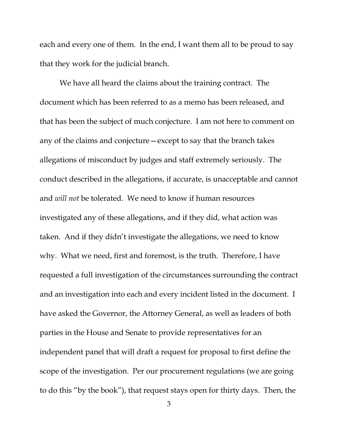each and every one of them. In the end, I want them all to be proud to say that they work for the judicial branch.

We have all heard the claims about the training contract. The document which has been referred to as a memo has been released, and that has been the subject of much conjecture. I am not here to comment on any of the claims and conjecture—except to say that the branch takes allegations of misconduct by judges and staff extremely seriously. The conduct described in the allegations, if accurate, is unacceptable and cannot and *will not* be tolerated. We need to know if human resources investigated any of these allegations, and if they did, what action was taken. And if they didn't investigate the allegations, we need to know why. What we need, first and foremost, is the truth. Therefore, I have requested a full investigation of the circumstances surrounding the contract and an investigation into each and every incident listed in the document. I have asked the Governor, the Attorney General, as well as leaders of both parties in the House and Senate to provide representatives for an independent panel that will draft a request for proposal to first define the scope of the investigation. Per our procurement regulations (we are going to do this "by the book"), that request stays open for thirty days. Then, the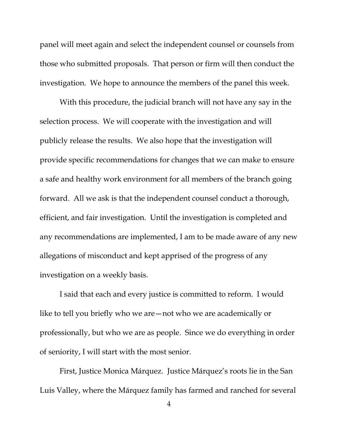panel will meet again and select the independent counsel or counsels from those who submitted proposals. That person or firm will then conduct the investigation. We hope to announce the members of the panel this week.

With this procedure, the judicial branch will not have any say in the selection process. We will cooperate with the investigation and will publicly release the results. We also hope that the investigation will provide specific recommendations for changes that we can make to ensure a safe and healthy work environment for all members of the branch going forward. All we ask is that the independent counsel conduct a thorough, efficient, and fair investigation. Until the investigation is completed and any recommendations are implemented, I am to be made aware of any new allegations of misconduct and kept apprised of the progress of any investigation on a weekly basis.

I said that each and every justice is committed to reform. I would like to tell you briefly who we are—not who we are academically or professionally, but who we are as people. Since we do everything in order of seniority, I will start with the most senior.

First, Justice Monica Márquez. Justice Márquez's roots lie in the San Luis Valley, where the Márquez family has farmed and ranched for several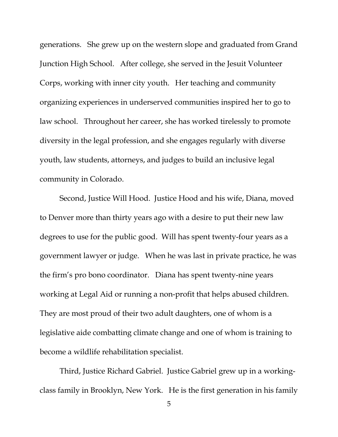generations. She grew up on the western slope and graduated from Grand Junction High School. After college, she served in the Jesuit Volunteer Corps, working with inner city youth. Her teaching and community organizing experiences in underserved communities inspired her to go to law school. Throughout her career, she has worked tirelessly to promote diversity in the legal profession, and she engages regularly with diverse youth, law students, attorneys, and judges to build an inclusive legal community in Colorado.

Second, Justice Will Hood. Justice Hood and his wife, Diana, moved to Denver more than thirty years ago with a desire to put their new law degrees to use for the public good. Will has spent twenty-four years as a government lawyer or judge. When he was last in private practice, he was the firm's pro bono coordinator. Diana has spent twenty-nine years working at Legal Aid or running a non-profit that helps abused children. They are most proud of their two adult daughters, one of whom is a legislative aide combatting climate change and one of whom is training to become a wildlife rehabilitation specialist.

Third, Justice Richard Gabriel. Justice Gabriel grew up in a workingclass family in Brooklyn, New York. He is the first generation in his family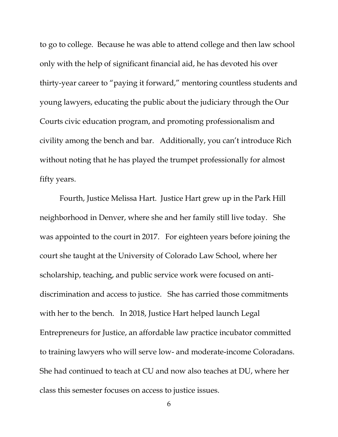to go to college. Because he was able to attend college and then law school only with the help of significant financial aid, he has devoted his over thirty-year career to "paying it forward," mentoring countless students and young lawyers, educating the public about the judiciary through the Our Courts civic education program, and promoting professionalism and civility among the bench and bar. Additionally, you can't introduce Rich without noting that he has played the trumpet professionally for almost fifty years.

Fourth, Justice Melissa Hart. Justice Hart grew up in the Park Hill neighborhood in Denver, where she and her family still live today. She was appointed to the court in 2017. For eighteen years before joining the court she taught at the University of Colorado Law School, where her scholarship, teaching, and public service work were focused on antidiscrimination and access to justice. She has carried those commitments with her to the bench. In 2018, Justice Hart helped launch Legal Entrepreneurs for Justice, an affordable law practice incubator committed to training lawyers who will serve low- and moderate-income Coloradans. She had continued to teach at CU and now also teaches at DU, where her class this semester focuses on access to justice issues.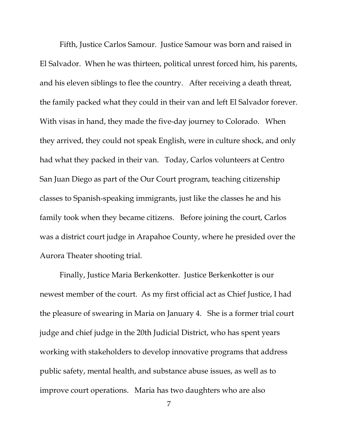Fifth, Justice Carlos Samour. Justice Samour was born and raised in El Salvador. When he was thirteen, political unrest forced him, his parents, and his eleven siblings to flee the country. After receiving a death threat, the family packed what they could in their van and left El Salvador forever. With visas in hand, they made the five-day journey to Colorado. When they arrived, they could not speak English, were in culture shock, and only had what they packed in their van. Today, Carlos volunteers at Centro San Juan Diego as part of the Our Court program, teaching citizenship classes to Spanish-speaking immigrants, just like the classes he and his family took when they became citizens. Before joining the court, Carlos was a district court judge in Arapahoe County, where he presided over the Aurora Theater shooting trial.

Finally, Justice Maria Berkenkotter. Justice Berkenkotter is our newest member of the court. As my first official act as Chief Justice, I had the pleasure of swearing in Maria on January 4. She is a former trial court judge and chief judge in the 20th Judicial District, who has spent years working with stakeholders to develop innovative programs that address public safety, mental health, and substance abuse issues, as well as to improve court operations. Maria has two daughters who are also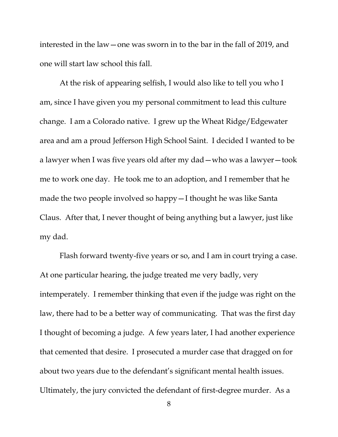interested in the law—one was sworn in to the bar in the fall of 2019, and one will start law school this fall.

At the risk of appearing selfish, I would also like to tell you who I am, since I have given you my personal commitment to lead this culture change. I am a Colorado native. I grew up the Wheat Ridge/Edgewater area and am a proud Jefferson High School Saint. I decided I wanted to be a lawyer when I was five years old after my dad—who was a lawyer—took me to work one day. He took me to an adoption, and I remember that he made the two people involved so happy—I thought he was like Santa Claus. After that, I never thought of being anything but a lawyer, just like my dad.

Flash forward twenty-five years or so, and I am in court trying a case. At one particular hearing, the judge treated me very badly, very intemperately. I remember thinking that even if the judge was right on the law, there had to be a better way of communicating. That was the first day I thought of becoming a judge. A few years later, I had another experience that cemented that desire. I prosecuted a murder case that dragged on for about two years due to the defendant's significant mental health issues. Ultimately, the jury convicted the defendant of first-degree murder. As a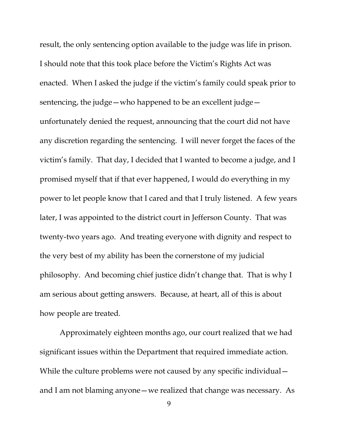result, the only sentencing option available to the judge was life in prison. I should note that this took place before the Victim's Rights Act was enacted. When I asked the judge if the victim's family could speak prior to sentencing, the judge—who happened to be an excellent judge unfortunately denied the request, announcing that the court did not have any discretion regarding the sentencing. I will never forget the faces of the victim's family. That day, I decided that I wanted to become a judge, and I promised myself that if that ever happened, I would do everything in my power to let people know that I cared and that I truly listened. A few years later, I was appointed to the district court in Jefferson County. That was twenty-two years ago. And treating everyone with dignity and respect to the very best of my ability has been the cornerstone of my judicial philosophy. And becoming chief justice didn't change that. That is why I am serious about getting answers. Because, at heart, all of this is about how people are treated.

Approximately eighteen months ago, our court realized that we had significant issues within the Department that required immediate action. While the culture problems were not caused by any specific individual – and I am not blaming anyone—we realized that change was necessary. As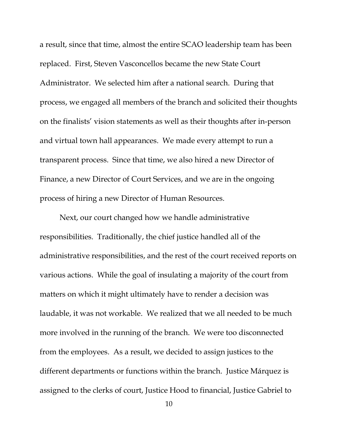a result, since that time, almost the entire SCAO leadership team has been replaced. First, Steven Vasconcellos became the new State Court Administrator. We selected him after a national search. During that process, we engaged all members of the branch and solicited their thoughts on the finalists' vision statements as well as their thoughts after in-person and virtual town hall appearances. We made every attempt to run a transparent process. Since that time, we also hired a new Director of Finance, a new Director of Court Services, and we are in the ongoing process of hiring a new Director of Human Resources.

Next, our court changed how we handle administrative responsibilities. Traditionally, the chief justice handled all of the administrative responsibilities, and the rest of the court received reports on various actions. While the goal of insulating a majority of the court from matters on which it might ultimately have to render a decision was laudable, it was not workable. We realized that we all needed to be much more involved in the running of the branch. We were too disconnected from the employees. As a result, we decided to assign justices to the different departments or functions within the branch. Justice Márquez is assigned to the clerks of court, Justice Hood to financial, Justice Gabriel to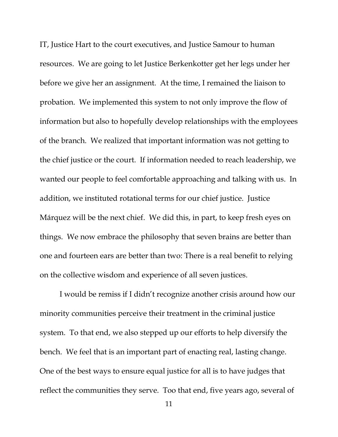IT, Justice Hart to the court executives, and Justice Samour to human resources. We are going to let Justice Berkenkotter get her legs under her before we give her an assignment. At the time, I remained the liaison to probation. We implemented this system to not only improve the flow of information but also to hopefully develop relationships with the employees of the branch. We realized that important information was not getting to the chief justice or the court. If information needed to reach leadership, we wanted our people to feel comfortable approaching and talking with us. In addition, we instituted rotational terms for our chief justice. Justice Márquez will be the next chief. We did this, in part, to keep fresh eyes on things. We now embrace the philosophy that seven brains are better than one and fourteen ears are better than two: There is a real benefit to relying on the collective wisdom and experience of all seven justices.

I would be remiss if I didn't recognize another crisis around how our minority communities perceive their treatment in the criminal justice system. To that end, we also stepped up our efforts to help diversify the bench. We feel that is an important part of enacting real, lasting change. One of the best ways to ensure equal justice for all is to have judges that reflect the communities they serve. Too that end, five years ago, several of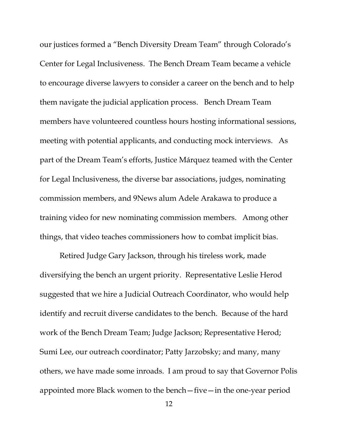our justices formed a "Bench Diversity Dream Team" through Colorado's Center for Legal Inclusiveness. The Bench Dream Team became a vehicle to encourage diverse lawyers to consider a career on the bench and to help them navigate the judicial application process. Bench Dream Team members have volunteered countless hours hosting informational sessions, meeting with potential applicants, and conducting mock interviews. As part of the Dream Team's efforts, Justice Márquez teamed with the Center for Legal Inclusiveness, the diverse bar associations, judges, nominating commission members, and 9News alum Adele Arakawa to produce a training video for new nominating commission members. Among other things, that video teaches commissioners how to combat implicit bias.

Retired Judge Gary Jackson, through his tireless work, made diversifying the bench an urgent priority. Representative Leslie Herod suggested that we hire a Judicial Outreach Coordinator, who would help identify and recruit diverse candidates to the bench. Because of the hard work of the Bench Dream Team; Judge Jackson; Representative Herod; Sumi Lee, our outreach coordinator; Patty Jarzobsky; and many, many others, we have made some inroads. I am proud to say that Governor Polis appointed more Black women to the bench—five—in the one-year period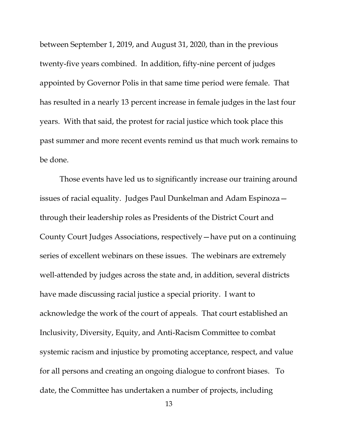between September 1, 2019, and August 31, 2020, than in the previous twenty-five years combined. In addition, fifty-nine percent of judges appointed by Governor Polis in that same time period were female. That has resulted in a nearly 13 percent increase in female judges in the last four years. With that said, the protest for racial justice which took place this past summer and more recent events remind us that much work remains to be done.

Those events have led us to significantly increase our training around issues of racial equality. Judges Paul Dunkelman and Adam Espinoza through their leadership roles as Presidents of the District Court and County Court Judges Associations, respectively—have put on a continuing series of excellent webinars on these issues. The webinars are extremely well-attended by judges across the state and, in addition, several districts have made discussing racial justice a special priority. I want to acknowledge the work of the court of appeals. That court established an Inclusivity, Diversity, Equity, and Anti-Racism Committee to combat systemic racism and injustice by promoting acceptance, respect, and value for all persons and creating an ongoing dialogue to confront biases. To date, the Committee has undertaken a number of projects, including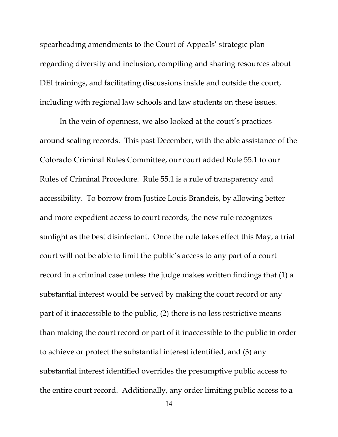spearheading amendments to the Court of Appeals' strategic plan regarding diversity and inclusion, compiling and sharing resources about DEI trainings, and facilitating discussions inside and outside the court, including with regional law schools and law students on these issues.

In the vein of openness, we also looked at the court's practices around sealing records. This past December, with the able assistance of the Colorado Criminal Rules Committee, our court added Rule 55.1 to our Rules of Criminal Procedure. Rule 55.1 is a rule of transparency and accessibility. To borrow from Justice Louis Brandeis, by allowing better and more expedient access to court records, the new rule recognizes sunlight as the best disinfectant. Once the rule takes effect this May, a trial court will not be able to limit the public's access to any part of a court record in a criminal case unless the judge makes written findings that (1) a substantial interest would be served by making the court record or any part of it inaccessible to the public, (2) there is no less restrictive means than making the court record or part of it inaccessible to the public in order to achieve or protect the substantial interest identified, and (3) any substantial interest identified overrides the presumptive public access to the entire court record. Additionally, any order limiting public access to a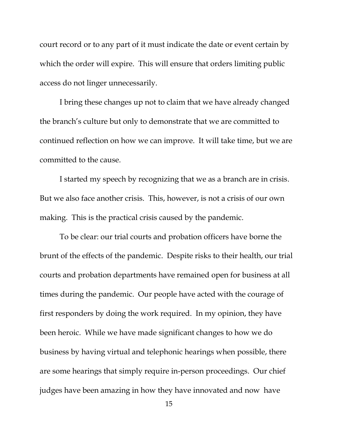court record or to any part of it must indicate the date or event certain by which the order will expire. This will ensure that orders limiting public access do not linger unnecessarily.

I bring these changes up not to claim that we have already changed the branch's culture but only to demonstrate that we are committed to continued reflection on how we can improve. It will take time, but we are committed to the cause.

I started my speech by recognizing that we as a branch are in crisis. But we also face another crisis. This, however, is not a crisis of our own making. This is the practical crisis caused by the pandemic.

To be clear: our trial courts and probation officers have borne the brunt of the effects of the pandemic. Despite risks to their health, our trial courts and probation departments have remained open for business at all times during the pandemic. Our people have acted with the courage of first responders by doing the work required. In my opinion, they have been heroic. While we have made significant changes to how we do business by having virtual and telephonic hearings when possible, there are some hearings that simply require in-person proceedings. Our chief judges have been amazing in how they have innovated and now have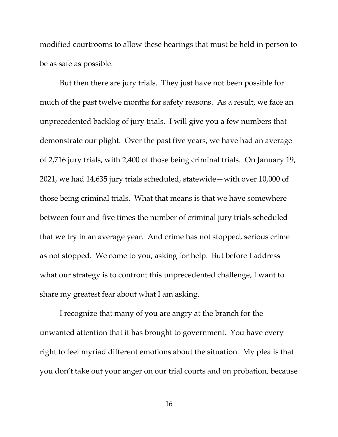modified courtrooms to allow these hearings that must be held in person to be as safe as possible.

But then there are jury trials. They just have not been possible for much of the past twelve months for safety reasons. As a result, we face an unprecedented backlog of jury trials. I will give you a few numbers that demonstrate our plight. Over the past five years, we have had an average of 2,716 jury trials, with 2,400 of those being criminal trials. On January 19, 2021, we had 14,635 jury trials scheduled, statewide—with over 10,000 of those being criminal trials. What that means is that we have somewhere between four and five times the number of criminal jury trials scheduled that we try in an average year. And crime has not stopped, serious crime as not stopped. We come to you, asking for help. But before I address what our strategy is to confront this unprecedented challenge, I want to share my greatest fear about what I am asking.

I recognize that many of you are angry at the branch for the unwanted attention that it has brought to government. You have every right to feel myriad different emotions about the situation. My plea is that you don't take out your anger on our trial courts and on probation, because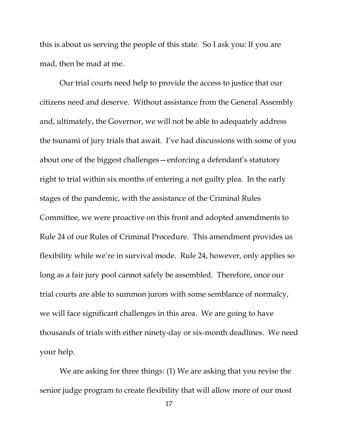this is about us serving the people of this state. So I ask you: If you are mad, then be mad at me.

Our trial courts need help to provide the access to justice that our citizens need and deserve. Without assistance from the General Assembly and, ultimately, the Governor, we will not be able to adequately address the tsunami of jury trials that await. I've had discussions with some of you about one of the biggest challenges—enforcing a defendant's statutory right to trial within six months of entering a not guilty plea. In the early stages of the pandemic, with the assistance of the Criminal Rules Committee, we were proactive on this front and adopted amendments to Rule 24 of our Rules of Criminal Procedure. This amendment provides us flexibility while we're in survival mode. Rule 24, however, only applies so long as a fair jury pool cannot safely be assembled. Therefore, once our trial courts are able to summon jurors with some semblance of normalcy, we will face significant challenges in this area. We are going to have thousands of trials with either ninety-day or six-month deadlines. We need your help.

We are asking for three things: (1) We are asking that you revise the senior judge program to create flexibility that will allow more of our most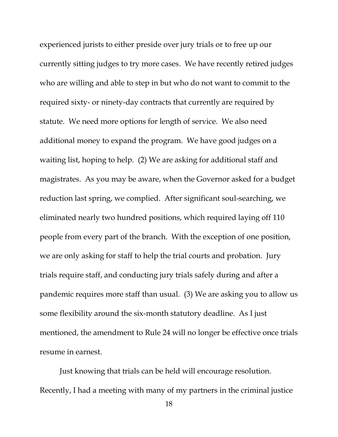experienced jurists to either preside over jury trials or to free up our currently sitting judges to try more cases. We have recently retired judges who are willing and able to step in but who do not want to commit to the required sixty- or ninety-day contracts that currently are required by statute. We need more options for length of service. We also need additional money to expand the program. We have good judges on a waiting list, hoping to help. (2) We are asking for additional staff and magistrates. As you may be aware, when the Governor asked for a budget reduction last spring, we complied. After significant soul-searching, we eliminated nearly two hundred positions, which required laying off 110 people from every part of the branch. With the exception of one position, we are only asking for staff to help the trial courts and probation. Jury trials require staff, and conducting jury trials safely during and after a pandemic requires more staff than usual. (3) We are asking you to allow us some flexibility around the six-month statutory deadline. As I just mentioned, the amendment to Rule 24 will no longer be effective once trials resume in earnest.

Just knowing that trials can be held will encourage resolution. Recently, I had a meeting with many of my partners in the criminal justice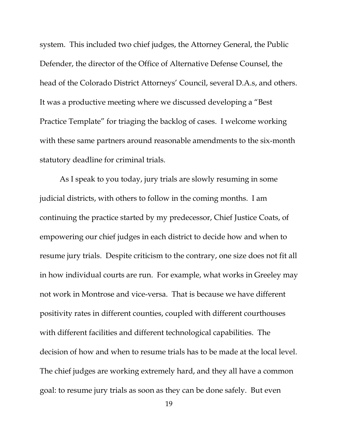system. This included two chief judges, the Attorney General, the Public Defender, the director of the Office of Alternative Defense Counsel, the head of the Colorado District Attorneys' Council, several D.A.s, and others. It was a productive meeting where we discussed developing a "Best Practice Template" for triaging the backlog of cases. I welcome working with these same partners around reasonable amendments to the six-month statutory deadline for criminal trials.

As I speak to you today, jury trials are slowly resuming in some judicial districts, with others to follow in the coming months. I am continuing the practice started by my predecessor, Chief Justice Coats, of empowering our chief judges in each district to decide how and when to resume jury trials. Despite criticism to the contrary, one size does not fit all in how individual courts are run. For example, what works in Greeley may not work in Montrose and vice-versa. That is because we have different positivity rates in different counties, coupled with different courthouses with different facilities and different technological capabilities. The decision of how and when to resume trials has to be made at the local level. The chief judges are working extremely hard, and they all have a common goal: to resume jury trials as soon as they can be done safely. But even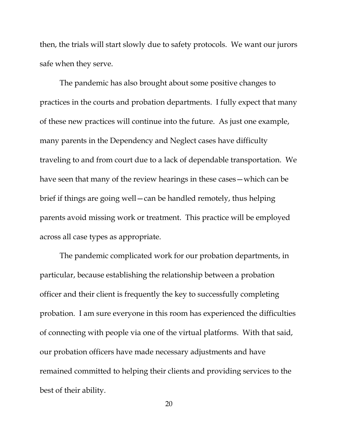then, the trials will start slowly due to safety protocols. We want our jurors safe when they serve.

The pandemic has also brought about some positive changes to practices in the courts and probation departments. I fully expect that many of these new practices will continue into the future. As just one example, many parents in the Dependency and Neglect cases have difficulty traveling to and from court due to a lack of dependable transportation. We have seen that many of the review hearings in these cases—which can be brief if things are going well—can be handled remotely, thus helping parents avoid missing work or treatment. This practice will be employed across all case types as appropriate.

The pandemic complicated work for our probation departments, in particular, because establishing the relationship between a probation officer and their client is frequently the key to successfully completing probation. I am sure everyone in this room has experienced the difficulties of connecting with people via one of the virtual platforms. With that said, our probation officers have made necessary adjustments and have remained committed to helping their clients and providing services to the best of their ability.

20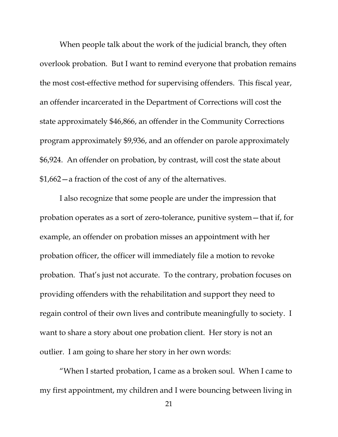When people talk about the work of the judicial branch, they often overlook probation. But I want to remind everyone that probation remains the most cost-effective method for supervising offenders. This fiscal year, an offender incarcerated in the Department of Corrections will cost the state approximately \$46,866, an offender in the Community Corrections program approximately \$9,936, and an offender on parole approximately \$6,924. An offender on probation, by contrast, will cost the state about \$1,662—a fraction of the cost of any of the alternatives.

I also recognize that some people are under the impression that probation operates as a sort of zero-tolerance, punitive system—that if, for example, an offender on probation misses an appointment with her probation officer, the officer will immediately file a motion to revoke probation. That's just not accurate. To the contrary, probation focuses on providing offenders with the rehabilitation and support they need to regain control of their own lives and contribute meaningfully to society. I want to share a story about one probation client. Her story is not an outlier. I am going to share her story in her own words:

"When I started probation, I came as a broken soul. When I came to my first appointment, my children and I were bouncing between living in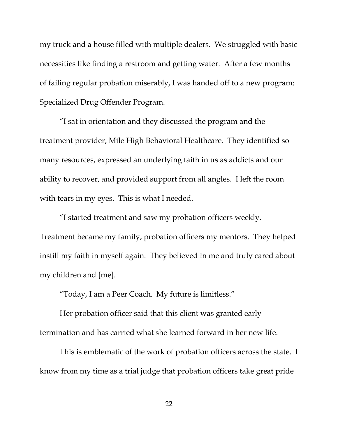my truck and a house filled with multiple dealers. We struggled with basic necessities like finding a restroom and getting water. After a few months of failing regular probation miserably, I was handed off to a new program: Specialized Drug Offender Program.

"I sat in orientation and they discussed the program and the treatment provider, Mile High Behavioral Healthcare. They identified so many resources, expressed an underlying faith in us as addicts and our ability to recover, and provided support from all angles. I left the room with tears in my eyes. This is what I needed.

"I started treatment and saw my probation officers weekly. Treatment became my family, probation officers my mentors. They helped instill my faith in myself again. They believed in me and truly cared about my children and [me].

"Today, I am a Peer Coach. My future is limitless."

Her probation officer said that this client was granted early termination and has carried what she learned forward in her new life.

This is emblematic of the work of probation officers across the state. I know from my time as a trial judge that probation officers take great pride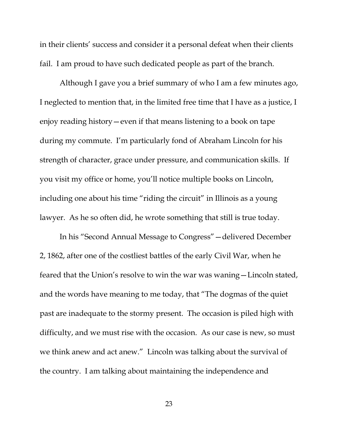in their clients' success and consider it a personal defeat when their clients fail. I am proud to have such dedicated people as part of the branch.

Although I gave you a brief summary of who I am a few minutes ago, I neglected to mention that, in the limited free time that I have as a justice, I enjoy reading history—even if that means listening to a book on tape during my commute. I'm particularly fond of Abraham Lincoln for his strength of character, grace under pressure, and communication skills. If you visit my office or home, you'll notice multiple books on Lincoln, including one about his time "riding the circuit" in Illinois as a young lawyer. As he so often did, he wrote something that still is true today.

In his "Second Annual Message to Congress"—delivered December 2, 1862, after one of the costliest battles of the early Civil War, when he feared that the Union's resolve to win the war was waning—Lincoln stated, and the words have meaning to me today, that "The dogmas of the quiet past are inadequate to the stormy present. The occasion is piled high with difficulty, and we must rise with the occasion. As our case is new, so must we think anew and act anew." Lincoln was talking about the survival of the country. I am talking about maintaining the independence and